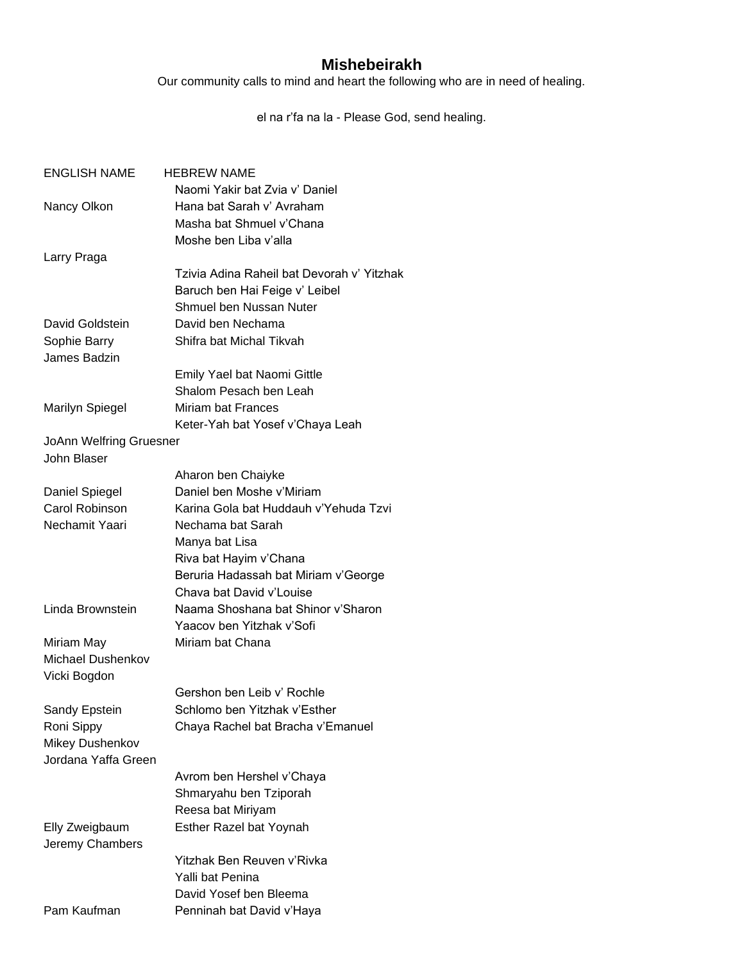## **Mishebeirakh**

Our community calls to mind and heart the following who are in need of healing.

el na r'fa na la - Please God, send healing.

| <b>ENGLISH NAME</b>            | <b>HEBREW NAME</b>                         |
|--------------------------------|--------------------------------------------|
|                                | Naomi Yakir bat Zvia v' Daniel             |
| Nancy Olkon                    | Hana bat Sarah v' Avraham                  |
|                                | Masha bat Shmuel v'Chana                   |
|                                | Moshe ben Liba v'alla                      |
| Larry Praga                    |                                            |
|                                | Tzivia Adina Raheil bat Devorah v' Yitzhak |
|                                | Baruch ben Hai Feige v' Leibel             |
|                                | Shmuel ben Nussan Nuter                    |
| David Goldstein                | David ben Nechama                          |
| Sophie Barry                   | Shifra bat Michal Tikvah                   |
| James Badzin                   |                                            |
|                                | Emily Yael bat Naomi Gittle                |
|                                | Shalom Pesach ben Leah                     |
| <b>Marilyn Spiegel</b>         | Miriam bat Frances                         |
|                                | Keter-Yah bat Yosef v'Chaya Leah           |
| <b>JoAnn Welfring Gruesner</b> |                                            |
| <b>John Blaser</b>             |                                            |
|                                | Aharon ben Chaiyke                         |
| Daniel Spiegel                 | Daniel ben Moshe v'Miriam                  |
| Carol Robinson                 | Karina Gola bat Huddauh v'Yehuda Tzvi      |
| Nechamit Yaari                 | Nechama bat Sarah                          |
|                                | Manya bat Lisa                             |
|                                | Riva bat Hayim v'Chana                     |
|                                | Beruria Hadassah bat Miriam v'George       |
|                                | Chava bat David v'Louise                   |
| Linda Brownstein               | Naama Shoshana bat Shinor v'Sharon         |
|                                | Yaacov ben Yitzhak v'Sofi                  |
| Miriam May                     | Miriam bat Chana                           |
| <b>Michael Dushenkov</b>       |                                            |
| Vicki Bogdon                   |                                            |
|                                | Gershon ben Leib v' Rochle                 |
| Sandy Epstein                  | Schlomo ben Yitzhak v'Esther               |
| Roni Sippy                     | Chaya Rachel bat Bracha v'Emanuel          |
| Mikey Dushenkov                |                                            |
| Jordana Yaffa Green            |                                            |
|                                | Avrom ben Hershel v'Chaya                  |
|                                | Shmaryahu ben Tziporah                     |
|                                | Reesa bat Miriyam                          |
| Elly Zweigbaum                 | Esther Razel bat Yoynah                    |
| Jeremy Chambers                |                                            |
|                                | Yitzhak Ben Reuven v'Rivka                 |
|                                | Yalli bat Penina                           |
|                                | David Yosef ben Bleema                     |
| Pam Kaufman                    | Penninah bat David v'Haya                  |